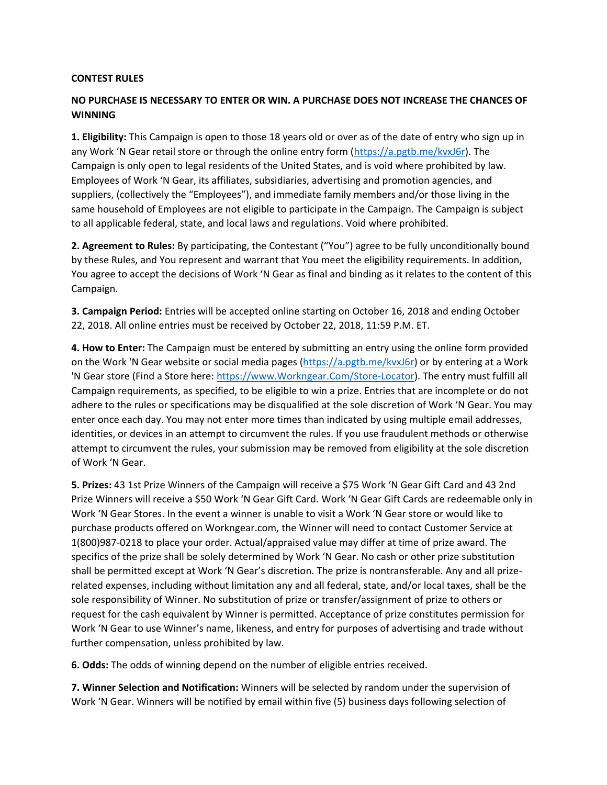## **CONTEST RULES**

## **NO PURCHASE IS NECESSARY TO ENTER OR WIN. A PURCHASE DOES NOT INCREASE THE CHANCES OF WINNING**

**1. Eligibility:** This Campaign is open to those 18 years old or over as of the date of entry who sign up in any Work 'N Gear retail store or through the online entry form ([https://a.pgtb.me/kvxJ6r\)](https://a.pgtb.me/kvxJ6r). The Campaign is only open to legal residents of the United States, and is void where prohibited by law. Employees of Work 'N Gear, its affiliates, subsidiaries, advertising and promotion agencies, and suppliers, (collectively the "Employees"), and immediate family members and/or those living in the same household of Employees are not eligible to participate in the Campaign. The Campaign is subject to all applicable federal, state, and local laws and regulations. Void where prohibited.

**2. Agreement to Rules:** By participating, the Contestant ("You") agree to be fully unconditionally bound by these Rules, and You represent and warrant that You meet the eligibility requirements. In addition, You agree to accept the decisions of Work 'N Gear as final and binding as it relates to the content of this Campaign.

**3. Campaign Period:** Entries will be accepted online starting on October 16, 2018 and ending October 22, 2018. All online entries must be received by October 22, 2018, 11:59 P.M. ET.

**4. How to Enter:** The Campaign must be entered by submitting an entry using the online form provided on the Work 'N Gear website or social media pages [\(https://a.pgtb.me/kvxJ6r\)](https://a.pgtb.me/kvxJ6r) or by entering at a Work 'N Gear store (Find a Store here: [https://www.Workngear.Com/Store-Locator\)](https://www.workngear.com/Store-Locator). The entry must fulfill all Campaign requirements, as specified, to be eligible to win a prize. Entries that are incomplete or do not adhere to the rules or specifications may be disqualified at the sole discretion of Work 'N Gear. You may enter once each day. You may not enter more times than indicated by using multiple email addresses, identities, or devices in an attempt to circumvent the rules. If you use fraudulent methods or otherwise attempt to circumvent the rules, your submission may be removed from eligibility at the sole discretion of Work 'N Gear.

**5. Prizes:** 43 1st Prize Winners of the Campaign will receive a \$75 Work 'N Gear Gift Card and 43 2nd Prize Winners will receive a \$50 Work 'N Gear Gift Card. Work 'N Gear Gift Cards are redeemable only in Work 'N Gear Stores. In the event a winner is unable to visit a Work 'N Gear store or would like to purchase products offered on Workngear.com, the Winner will need to contact Customer Service at 1(800)987-0218 to place your order. Actual/appraised value may differ at time of prize award. The specifics of the prize shall be solely determined by Work 'N Gear. No cash or other prize substitution shall be permitted except at Work 'N Gear's discretion. The prize is nontransferable. Any and all prizerelated expenses, including without limitation any and all federal, state, and/or local taxes, shall be the sole responsibility of Winner. No substitution of prize or transfer/assignment of prize to others or request for the cash equivalent by Winner is permitted. Acceptance of prize constitutes permission for Work 'N Gear to use Winner's name, likeness, and entry for purposes of advertising and trade without further compensation, unless prohibited by law.

**6. Odds:** The odds of winning depend on the number of eligible entries received.

**7. Winner Selection and Notification:** Winners will be selected by random under the supervision of Work 'N Gear. Winners will be notified by email within five (5) business days following selection of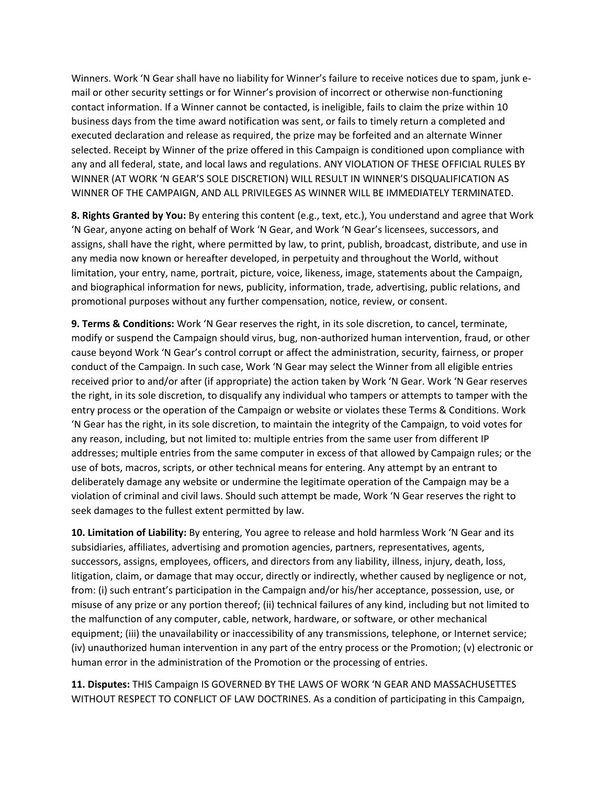Winners. Work 'N Gear shall have no liability for Winner's failure to receive notices due to spam, junk email or other security settings or for Winner's provision of incorrect or otherwise non-functioning contact information. If a Winner cannot be contacted, is ineligible, fails to claim the prize within 10 business days from the time award notification was sent, or fails to timely return a completed and executed declaration and release as required, the prize may be forfeited and an alternate Winner selected. Receipt by Winner of the prize offered in this Campaign is conditioned upon compliance with any and all federal, state, and local laws and regulations. ANY VIOLATION OF THESE OFFICIAL RULES BY WINNER (AT WORK 'N GEAR'S SOLE DISCRETION) WILL RESULT IN WINNER'S DISQUALIFICATION AS WINNER OF THE CAMPAIGN, AND ALL PRIVILEGES AS WINNER WILL BE IMMEDIATELY TERMINATED.

**8. Rights Granted by You:** By entering this content (e.g., text, etc.), You understand and agree that Work 'N Gear, anyone acting on behalf of Work 'N Gear, and Work 'N Gear's licensees, successors, and assigns, shall have the right, where permitted by law, to print, publish, broadcast, distribute, and use in any media now known or hereafter developed, in perpetuity and throughout the World, without limitation, your entry, name, portrait, picture, voice, likeness, image, statements about the Campaign, and biographical information for news, publicity, information, trade, advertising, public relations, and promotional purposes without any further compensation, notice, review, or consent.

**9. Terms & Conditions:** Work 'N Gear reserves the right, in its sole discretion, to cancel, terminate, modify or suspend the Campaign should virus, bug, non-authorized human intervention, fraud, or other cause beyond Work 'N Gear's control corrupt or affect the administration, security, fairness, or proper conduct of the Campaign. In such case, Work 'N Gear may select the Winner from all eligible entries received prior to and/or after (if appropriate) the action taken by Work 'N Gear. Work 'N Gear reserves the right, in its sole discretion, to disqualify any individual who tampers or attempts to tamper with the entry process or the operation of the Campaign or website or violates these Terms & Conditions. Work 'N Gear has the right, in its sole discretion, to maintain the integrity of the Campaign, to void votes for any reason, including, but not limited to: multiple entries from the same user from different IP addresses; multiple entries from the same computer in excess of that allowed by Campaign rules; or the use of bots, macros, scripts, or other technical means for entering. Any attempt by an entrant to deliberately damage any website or undermine the legitimate operation of the Campaign may be a violation of criminal and civil laws. Should such attempt be made, Work 'N Gear reserves the right to seek damages to the fullest extent permitted by law.

**10. Limitation of Liability:** By entering, You agree to release and hold harmless Work 'N Gear and its subsidiaries, affiliates, advertising and promotion agencies, partners, representatives, agents, successors, assigns, employees, officers, and directors from any liability, illness, injury, death, loss, litigation, claim, or damage that may occur, directly or indirectly, whether caused by negligence or not, from: (i) such entrant's participation in the Campaign and/or his/her acceptance, possession, use, or misuse of any prize or any portion thereof; (ii) technical failures of any kind, including but not limited to the malfunction of any computer, cable, network, hardware, or software, or other mechanical equipment; (iii) the unavailability or inaccessibility of any transmissions, telephone, or Internet service; (iv) unauthorized human intervention in any part of the entry process or the Promotion; (v) electronic or human error in the administration of the Promotion or the processing of entries.

**11. Disputes:** THIS Campaign IS GOVERNED BY THE LAWS OF WORK 'N GEAR AND MASSACHUSETTES WITHOUT RESPECT TO CONFLICT OF LAW DOCTRINES. As a condition of participating in this Campaign,